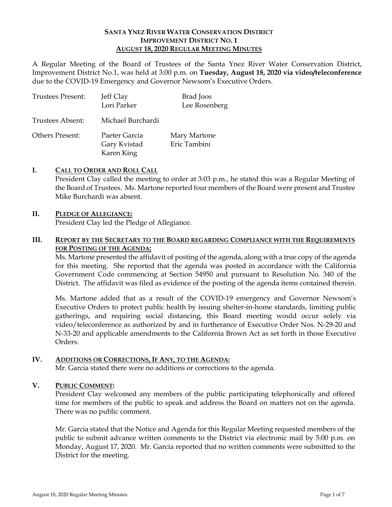### **SANTA YNEZ RIVER WATER CONSERVATION DISTRICT IMPROVEMENT DISTRICT NO. 1 AUGUST 18, 2020 REGULAR MEETING MINUTES**

A Regular Meeting of the Board of Trustees of the Santa Ynez River Water Conservation District, Improvement District No.1, was held at 3:00 p.m. on **Tuesday, August 18, 2020 via video/teleconference**  due to the COVID-19 Emergency and Governor Newsom's Executive Orders.

| <b>Trustees Present:</b> | Jeff Clay<br>Lori Parker                    | Brad Joos<br>Lee Rosenberg   |
|--------------------------|---------------------------------------------|------------------------------|
| Trustees Absent:         | Michael Burchardi                           |                              |
| <b>Others Present:</b>   | Paeter Garcia<br>Gary Kvistad<br>Karen King | Mary Martone<br>Eric Tambini |

### **I. CALL TO ORDER AND ROLL CALL**

President Clay called the meeting to order at 3:03 p.m., he stated this was a Regular Meeting of the Board of Trustees. Ms. Martone reported four members of the Board were present and Trustee Mike Burchardi was absent.

## **II. PLEDGE OF ALLEGIANCE:**

President Clay led the Pledge of Allegiance.

### **III. REPORT BY THE SECRETARY TO THE BOARD REGARDING COMPLIANCE WITH THE REQUIREMENTS FOR POSTING OF THE AGENDA:**

Ms. Martone presented the affidavit of posting of the agenda, along with a true copy of the agenda for this meeting. She reported that the agenda was posted in accordance with the California Government Code commencing at Section 54950 and pursuant to Resolution No. 340 of the District. The affidavit was filed as evidence of the posting of the agenda items contained therein.

Ms. Martone added that as a result of the COVID-19 emergency and Governor Newsom's Executive Orders to protect public health by issuing shelter-in-home standards, limiting public gatherings, and requiring social distancing, this Board meeting would occur solely via video/teleconference as authorized by and in furtherance of Executive Order Nos. N-29-20 and N-33-20 and applicable amendments to the California Brown Act as set forth in those Executive Orders.

### **IV. ADDITIONS OR CORRECTIONS, IF ANY, TO THE AGENDA:**

Mr. Garcia stated there were no additions or corrections to the agenda.

### **V. PUBLIC COMMENT:**

President Clay welcomed any members of the public participating telephonically and offered time for members of the public to speak and address the Board on matters not on the agenda. There was no public comment.

Mr. Garcia stated that the Notice and Agenda for this Regular Meeting requested members of the public to submit advance written comments to the District via electronic mail by 5:00 p.m. on Monday, August 17, 2020. Mr. Garcia reported that no written comments were submitted to the District for the meeting.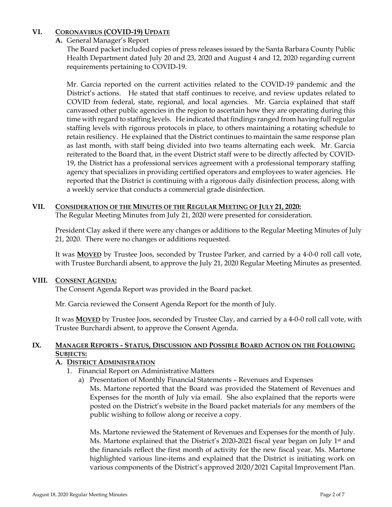# **VI. CORONAVIRUS (COVID-19) UPDATE**

**A.** General Manager's Report

The Board packet included copies of press releases issued by the Santa Barbara County Public Health Department dated July 20 and 23, 2020 and August 4 and 12, 2020 regarding current requirements pertaining to COVID-19.

Mr. Garcia reported on the current activities related to the COVID-19 pandemic and the District's actions. He stated that staff continues to receive, and review updates related to COVID from federal, state, regional, and local agencies. Mr. Garcia explained that staff canvassed other public agencies in the region to ascertain how they are operating during this time with regard to staffing levels. He indicated that findings ranged from having full regular staffing levels with rigorous protocols in place, to others maintaining a rotating schedule to retain resiliency. He explained that the District continues to maintain the same response plan as last month, with staff being divided into two teams alternating each week. Mr. Garcia reiterated to the Board that, in the event District staff were to be directly affected by COVID-19, the District has a professional services agreement with a professional temporary staffing agency that specializes in providing certified operators and employees to water agencies. He reported that the District is continuing with a rigorous daily disinfection process, along with a weekly service that conducts a commercial grade disinfection.

### **VII. CONSIDERATION OF THE MINUTES OF THE REGULAR MEETING OF JULY 21, 2020:**

The Regular Meeting Minutes from July 21, 2020 were presented for consideration.

President Clay asked if there were any changes or additions to the Regular Meeting Minutes of July 21, 2020. There were no changes or additions requested.

It was **MOVED** by Trustee Joos, seconded by Trustee Parker, and carried by a 4-0-0 roll call vote, with Trustee Burchardi absent, to approve the July 21, 2020 Regular Meeting Minutes as presented.

## **VIII. CONSENT AGENDA:**

The Consent Agenda Report was provided in the Board packet.

Mr. Garcia reviewed the Consent Agenda Report for the month of July.

It was **MOVED** by Trustee Joos, seconded by Trustee Clay, and carried by a 4-0-0 roll call vote, with Trustee Burchardi absent, to approve the Consent Agenda.

## **IX. MANAGER REPORTS - STATUS, DISCUSSION AND POSSIBLE BOARD ACTION ON THE FOLLOWING SUBJECTS:**

## **A. DISTRICT ADMINISTRATION**

- 1. Financial Report on Administrative Matters
	- a) Presentation of Monthly Financial Statements Revenues and Expenses Ms. Martone reported that the Board was provided the Statement of Revenues and Expenses for the month of July via email. She also explained that the reports were posted on the District's website in the Board packet materials for any members of the public wishing to follow along or receive a copy.

Ms. Martone reviewed the Statement of Revenues and Expenses for the month of July. Ms. Martone explained that the District's 2020-2021 fiscal year began on July  $1<sup>st</sup>$  and the financials reflect the first month of activity for the new fiscal year. Ms. Martone highlighted various line-items and explained that the District is initiating work on various components of the District's approved 2020/2021 Capital Improvement Plan.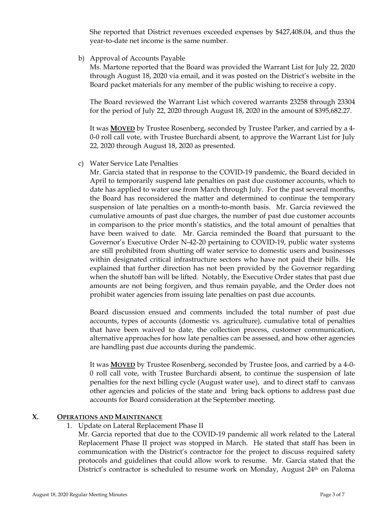She reported that District revenues exceeded expenses by \$427,408.04, and thus the year-to-date net income is the same number.

b) Approval of Accounts Payable

Ms. Martone reported that the Board was provided the Warrant List for July 22, 2020 through August 18, 2020 via email, and it was posted on the District's website in the Board packet materials for any member of the public wishing to receive a copy.

The Board reviewed the Warrant List which covered warrants 23258 through 23304 for the period of July 22, 2020 through August 18, 2020 in the amount of \$395,682.27.

It was **MOVED** by Trustee Rosenberg, seconded by Trustee Parker, and carried by a 4- 0-0 roll call vote, with Trustee Burchardi absent, to approve the Warrant List for July 22, 2020 through August 18, 2020 as presented.

c) Water Service Late Penalties

Mr. Garcia stated that in response to the COVID-19 pandemic, the Board decided in April to temporarily suspend late penalties on past due customer accounts, which to date has applied to water use from March through July. For the past several months, the Board has reconsidered the matter and determined to continue the temporary suspension of late penalties on a month-to-month basis. Mr. Garcia reviewed the cumulative amounts of past due charges, the number of past due customer accounts in comparison to the prior month's statistics, and the total amount of penalties that have been waived to date. Mr. Garcia reminded the Board that pursuant to the Governor's Executive Order N-42-20 pertaining to COVID-19, public water systems are still prohibited from shutting off water service to domestic users and businesses within designated critical infrastructure sectors who have not paid their bills. He explained that further direction has not been provided by the Governor regarding when the shutoff ban will be lifted. Notably, the Executive Order states that past due amounts are not being forgiven, and thus remain payable, and the Order does not prohibit water agencies from issuing late penalties on past due accounts.

Board discussion ensued and comments included the total number of past due accounts, types of accounts (domestic vs. agriculture), cumulative total of penalties that have been waived to date, the collection process, customer communication, alternative approaches for how late penalties can be assessed, and how other agencies are handling past due accounts during the pandemic.

It was **MOVED** by Trustee Rosenberg, seconded by Trustee Joos, and carried by a 4-0- 0 roll call vote, with Trustee Burchardi absent, to continue the suspension of late penalties for the next billing cycle (August water use), and to direct staff to canvass other agencies and policies of the state and bring back options to address past due accounts for Board consideration at the September meeting.

### **X. OPERATIONS AND MAINTENANCE**

1. Update on Lateral Replacement Phase II

Mr. Garcia reported that due to the COVID-19 pandemic all work related to the Lateral Replacement Phase II project was stopped in March. He stated that staff has been in communication with the District's contractor for the project to discuss required safety protocols and guidelines that could allow work to resume. Mr. Garcia stated that the District's contractor is scheduled to resume work on Monday, August  $24<sup>th</sup>$  on Paloma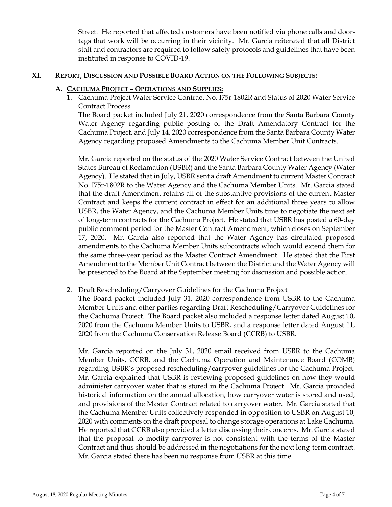Street. He reported that affected customers have been notified via phone calls and doortags that work will be occurring in their vicinity. Mr. Garcia reiterated that all District staff and contractors are required to follow safety protocols and guidelines that have been instituted in response to COVID-19.

### **XI. REPORT, DISCUSSION AND POSSIBLE BOARD ACTION ON THE FOLLOWING SUBJECTS:**

### **A. CACHUMA PROJECT – OPERATIONS AND SUPPLIES:**

1. Cachuma Project Water Service Contract No. I75r-1802R and Status of 2020 Water Service Contract Process

The Board packet included July 21, 2020 correspondence from the Santa Barbara County Water Agency regarding public posting of the Draft Amendatory Contract for the Cachuma Project, and July 14, 2020 correspondence from the Santa Barbara County Water Agency regarding proposed Amendments to the Cachuma Member Unit Contracts.

Mr. Garcia reported on the status of the 2020 Water Service Contract between the United States Bureau of Reclamation (USBR) and the Santa Barbara County Water Agency (Water Agency). He stated that in July, USBR sent a draft Amendment to current Master Contract No. I75r-1802R to the Water Agency and the Cachuma Member Units. Mr. Garcia stated that the draft Amendment retains all of the substantive provisions of the current Master Contract and keeps the current contract in effect for an additional three years to allow USBR, the Water Agency, and the Cachuma Member Units time to negotiate the next set of long-term contracts for the Cachuma Project. He stated that USBR has posted a 60-day public comment period for the Master Contract Amendment, which closes on September 17, 2020. Mr. Garcia also reported that the Water Agency has circulated proposed amendments to the Cachuma Member Units subcontracts which would extend them for the same three-year period as the Master Contract Amendment. He stated that the First Amendment to the Member Unit Contract between the District and the Water Agency will be presented to the Board at the September meeting for discussion and possible action.

## 2. Draft Rescheduling/Carryover Guidelines for the Cachuma Project

The Board packet included July 31, 2020 correspondence from USBR to the Cachuma Member Units and other parties regarding Draft Rescheduling/Carryover Guidelines for the Cachuma Project. The Board packet also included a response letter dated August 10, 2020 from the Cachuma Member Units to USBR, and a response letter dated August 11, 2020 from the Cachuma Conservation Release Board (CCRB) to USBR.

Mr. Garcia reported on the July 31, 2020 email received from USBR to the Cachuma Member Units, CCRB, and the Cachuma Operation and Maintenance Board (COMB) regarding USBR's proposed rescheduling/carryover guidelines for the Cachuma Project. Mr. Garcia explained that USBR is reviewing proposed guidelines on how they would administer carryover water that is stored in the Cachuma Project. Mr. Garcia provided historical information on the annual allocation, how carryover water is stored and used, and provisions of the Master Contract related to carryover water. Mr. Garcia stated that the Cachuma Member Units collectively responded in opposition to USBR on August 10, 2020 with comments on the draft proposal to change storage operations at Lake Cachuma. He reported that CCRB also provided a letter discussing their concerns. Mr. Garcia stated that the proposal to modify carryover is not consistent with the terms of the Master Contract and thus should be addressed in the negotiations for the next long-term contract. Mr. Garcia stated there has been no response from USBR at this time.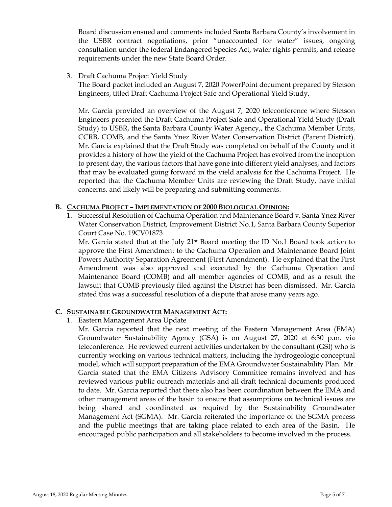Board discussion ensued and comments included Santa Barbara County's involvement in the USBR contract negotiations, prior "unaccounted for water" issues, ongoing consultation under the federal Endangered Species Act, water rights permits, and release requirements under the new State Board Order.

3. Draft Cachuma Project Yield Study

The Board packet included an August 7, 2020 PowerPoint document prepared by Stetson Engineers, titled Draft Cachuma Project Safe and Operational Yield Study.

Mr. Garcia provided an overview of the August 7, 2020 teleconference where Stetson Engineers presented the Draft Cachuma Project Safe and Operational Yield Study (Draft Study) to USBR, the Santa Barbara County Water Agency,, the Cachuma Member Units, CCRB, COMB, and the Santa Ynez River Water Conservation District (Parent District). Mr. Garcia explained that the Draft Study was completed on behalf of the County and it provides a history of how the yield of the Cachuma Project has evolved from the inception to present day, the various factors that have gone into different yield analyses, and factors that may be evaluated going forward in the yield analysis for the Cachuma Project. He reported that the Cachuma Member Units are reviewing the Draft Study, have initial concerns, and likely will be preparing and submitting comments.

### **B. CACHUMA PROJECT – IMPLEMENTATION OF 2000 BIOLOGICAL OPINION:**

1. Successful Resolution of Cachuma Operation and Maintenance Board v. Santa Ynez River Water Conservation District, Improvement District No.1, Santa Barbara County Superior Court Case No. 19CV01873

Mr. Garcia stated that at the July  $21<sup>st</sup>$  Board meeting the ID No.1 Board took action to approve the First Amendment to the Cachuma Operation and Maintenance Board Joint Powers Authority Separation Agreement (First Amendment). He explained that the First Amendment was also approved and executed by the Cachuma Operation and Maintenance Board (COMB) and all member agencies of COMB, and as a result the lawsuit that COMB previously filed against the District has been dismissed. Mr. Garcia stated this was a successful resolution of a dispute that arose many years ago.

### **C. SUSTAINABLE GROUNDWATER MANAGEMENT ACT:**

1. Eastern Management Area Update

Mr. Garcia reported that the next meeting of the Eastern Management Area (EMA) Groundwater Sustainability Agency (GSA) is on August 27, 2020 at 6:30 p.m. via teleconference. He reviewed current activities undertaken by the consultant (GSI) who is currently working on various technical matters, including the hydrogeologic conceptual model, which will support preparation of the EMA Groundwater Sustainability Plan. Mr. Garcia stated that the EMA Citizens Advisory Committee remains involved and has reviewed various public outreach materials and all draft technical documents produced to date. Mr. Garcia reported that there also has been coordination between the EMA and other management areas of the basin to ensure that assumptions on technical issues are being shared and coordinated as required by the Sustainability Groundwater Management Act (SGMA). Mr. Garcia reiterated the importance of the SGMA process and the public meetings that are taking place related to each area of the Basin. He encouraged public participation and all stakeholders to become involved in the process.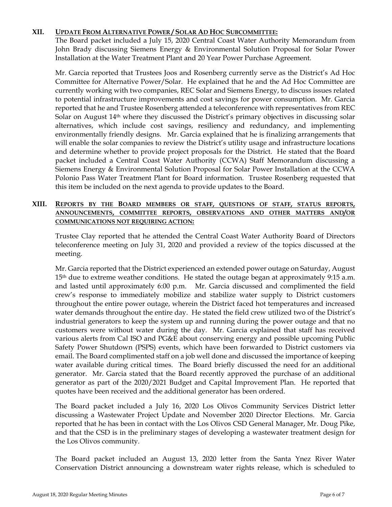### **XII. UPDATE FROM ALTERNATIVE POWER / SOLAR AD HOC SUBCOMMITTEE:**

The Board packet included a July 15, 2020 Central Coast Water Authority Memorandum from John Brady discussing Siemens Energy & Environmental Solution Proposal for Solar Power Installation at the Water Treatment Plant and 20 Year Power Purchase Agreement.

Mr. Garcia reported that Trustees Joos and Rosenberg currently serve as the District's Ad Hoc Committee for Alternative Power/Solar. He explained that he and the Ad Hoc Committee are currently working with two companies, REC Solar and Siemens Energy, to discuss issues related to potential infrastructure improvements and cost savings for power consumption. Mr. Garcia reported that he and Trustee Rosenberg attended a teleconference with representatives from REC Solar on August 14<sup>th</sup> where they discussed the District's primary objectives in discussing solar alternatives, which include cost savings, resiliency and redundancy, and implementing environmentally friendly designs. Mr. Garcia explained that he is finalizing arrangements that will enable the solar companies to review the District's utility usage and infrastructure locations and determine whether to provide project proposals for the District. He stated that the Board packet included a Central Coast Water Authority (CCWA) Staff Memorandum discussing a Siemens Energy & Environmental Solution Proposal for Solar Power Installation at the CCWA Polonio Pass Water Treatment Plant for Board information. Trustee Rosenberg requested that this item be included on the next agenda to provide updates to the Board.

## **XIII. REPORTS BY THE BOARD MEMBERS OR STAFF, QUESTIONS OF STAFF, STATUS REPORTS, ANNOUNCEMENTS, COMMITTEE REPORTS, OBSERVATIONS AND OTHER MATTERS AND/OR COMMUNICATIONS NOT REQUIRING ACTION:**

Trustee Clay reported that he attended the Central Coast Water Authority Board of Directors teleconference meeting on July 31, 2020 and provided a review of the topics discussed at the meeting.

Mr. Garcia reported that the District experienced an extended power outage on Saturday, August  $15<sup>th</sup>$  due to extreme weather conditions. He stated the outage began at approximately 9:15 a.m. and lasted until approximately 6:00 p.m. Mr. Garcia discussed and complimented the field crew's response to immediately mobilize and stabilize water supply to District customers throughout the entire power outage, wherein the District faced hot temperatures and increased water demands throughout the entire day. He stated the field crew utilized two of the District's industrial generators to keep the system up and running during the power outage and that no customers were without water during the day. Mr. Garcia explained that staff has received various alerts from Cal ISO and PG&E about conserving energy and possible upcoming Public Safety Power Shutdown (PSPS) events, which have been forwarded to District customers via email. The Board complimented staff on a job well done and discussed the importance of keeping water available during critical times. The Board briefly discussed the need for an additional generator. Mr. Garcia stated that the Board recently approved the purchase of an additional generator as part of the 2020/2021 Budget and Capital Improvement Plan. He reported that quotes have been received and the additional generator has been ordered.

The Board packet included a July 16, 2020 Los Olivos Community Services District letter discussing a Wastewater Project Update and November 2020 Director Elections. Mr. Garcia reported that he has been in contact with the Los Olivos CSD General Manager, Mr. Doug Pike, and that the CSD is in the preliminary stages of developing a wastewater treatment design for the Los Olivos community.

The Board packet included an August 13, 2020 letter from the Santa Ynez River Water Conservation District announcing a downstream water rights release, which is scheduled to